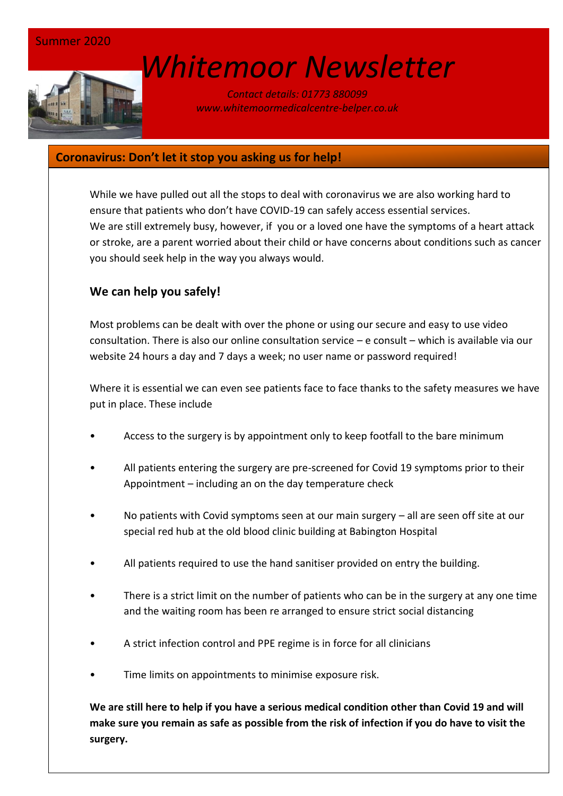# *[W](http://www.google.co.uk/url?sa=i&rct=j&q=&esrc=s&source=images&cd=&cad=rja&uact=8&ved=0ahUKEwin-cyyiKnSAhVEWBQKHSM6ALcQjRwIBw&url=http://www.marsh-associates.org/marsh associates healthcare.html&psig=AFQjCNFsQSs3O1ON_CSbThOIRhZZ0AZsGQ&ust=1488037117603691)hitemoor Newsletter*

*Contact details: 01773 880099 www.whitemoormedicalcentre-belper.co.uk*

### **Coronavirus: Don't let it stop you asking us for help!**

While we have pulled out all the stops to deal with coronavirus we are also working hard to ensure that patients who don't have COVID-19 can safely access essential services. We are still extremely busy, however, if you or a loved one have the symptoms of a heart attack or stroke, are a parent worried about their child or have concerns about conditions such as cancer you should seek help in the way you always would.

# **We can help you safely!**

Most problems can be dealt with over the phone or using our secure and easy to use video consultation. There is also our online consultation service – e consult – which is available via our website 24 hours a day and 7 days a week; no user name or password required!

Where it is essential we can even see patients face to face thanks to the safety measures we have put in place. These include

- Access to the surgery is by appointment only to keep footfall to the bare minimum
- All patients entering the surgery are pre-screened for Covid 19 symptoms prior to their Appointment – including an on the day temperature check
- No patients with Covid symptoms seen at our main surgery all are seen off site at our special red hub at the old blood clinic building at Babington Hospital
- All patients required to use the hand sanitiser provided on entry the building.
- There is a strict limit on the number of patients who can be in the surgery at any one time and the waiting room has been re arranged to ensure strict social distancing
- A strict infection control and PPE regime is in force for all clinicians
- Time limits on appointments to minimise exposure risk.

**We are still here to help if you have a serious medical condition other than Covid 19 and will make sure you remain as safe as possible from the risk of infection if you do have to visit the surgery.**